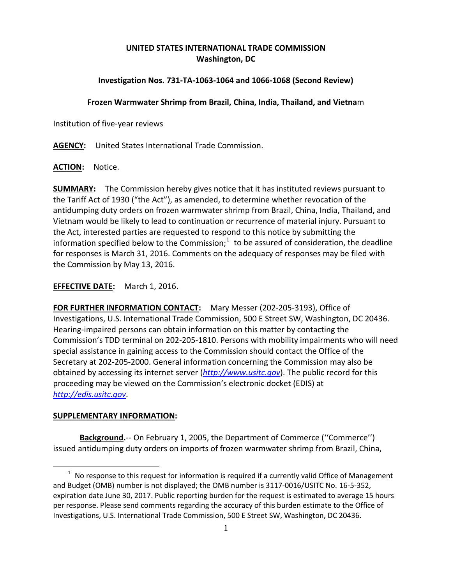## **UNITED STATES INTERNATIONAL TRADE COMMISSION Washington, DC**

## **Investigation Nos. 731-TA-1063-1064 and 1066-1068 (Second Review)**

## **Frozen Warmwater Shrimp from Brazil, China, India, Thailand, and Vietna**m

Institution of five-year reviews

**AGENCY:** United States International Trade Commission.

**ACTION:** Notice.

**SUMMARY:** The Commission hereby gives notice that it has instituted reviews pursuant to the Tariff Act of 1930 ("the Act"), as amended, to determine whether revocation of the antidumping duty orders on frozen warmwater shrimp from Brazil, China, India, Thailand, and Vietnam would be likely to lead to continuation or recurrence of material injury. Pursuant to the Act, interested parties are requested to respond to this notice by submitting the information specified below to the Commission; $1$  to be assured of consideration, the deadline for responses is March 31, 2016. Comments on the adequacy of responses may be filed with the Commission by May 13, 2016.

**EFFECTIVE DATE:** March 1, 2016.

**FOR FURTHER INFORMATION CONTACT:** Mary Messer (202-205-3193), Office of Investigations, U.S. International Trade Commission, 500 E Street SW, Washington, DC 20436. Hearing-impaired persons can obtain information on this matter by contacting the Commission's TDD terminal on 202-205-1810. Persons with mobility impairments who will need special assistance in gaining access to the Commission should contact the Office of the Secretary at 202-205-2000. General information concerning the Commission may also be obtained by accessing its internet server (*[http://www.usitc.gov](http://www.usitc.gov/)*). The public record for this proceeding may be viewed on the Commission's electronic docket (EDIS) at *[http://edis.usitc.gov](http://edis.usitc.gov/)*.

## **SUPPLEMENTARY INFORMATION:**

**Background.**-- On February 1, 2005, the Department of Commerce (''Commerce'') issued antidumping duty orders on imports of frozen warmwater shrimp from Brazil, China,

<span id="page-0-0"></span> $\overline{a}$  $1$  No response to this request for information is required if a currently valid Office of Management and Budget (OMB) number is not displayed; the OMB number is 3117-0016/USITC No. 16-5-352, expiration date June 30, 2017. Public reporting burden for the request is estimated to average 15 hours per response. Please send comments regarding the accuracy of this burden estimate to the Office of Investigations, U.S. International Trade Commission, 500 E Street SW, Washington, DC 20436.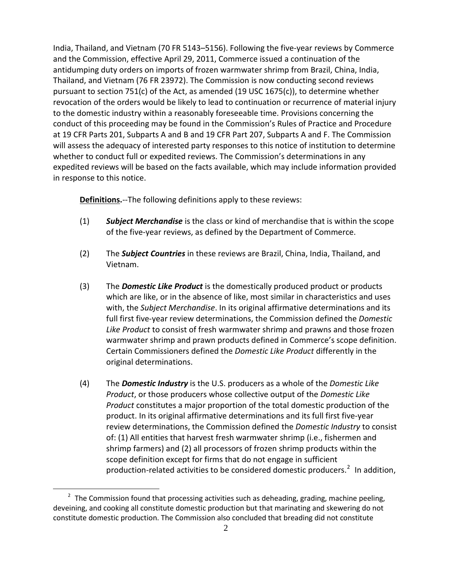India, Thailand, and Vietnam (70 FR 5143–5156). Following the five-year reviews by Commerce and the Commission, effective April 29, 2011, Commerce issued a continuation of the antidumping duty orders on imports of frozen warmwater shrimp from Brazil, China, India, Thailand, and Vietnam (76 FR 23972). The Commission is now conducting second reviews pursuant to section 751(c) of the Act, as amended (19 USC 1675(c)), to determine whether revocation of the orders would be likely to lead to continuation or recurrence of material injury to the domestic industry within a reasonably foreseeable time. Provisions concerning the conduct of this proceeding may be found in the Commission's Rules of Practice and Procedure at 19 CFR Parts 201, Subparts A and B and 19 CFR Part 207, Subparts A and F. The Commission will assess the adequacy of interested party responses to this notice of institution to determine whether to conduct full or expedited reviews. The Commission's determinations in any expedited reviews will be based on the facts available, which may include information provided in response to this notice.

**Definitions.**--The following definitions apply to these reviews:

- (1) *Subject Merchandise* is the class or kind of merchandise that is within the scope of the five-year reviews, as defined by the Department of Commerce.
- (2) The *Subject Countries* in these reviews are Brazil, China, India, Thailand, and Vietnam.
- (3) The *Domestic Like Product* is the domestically produced product or products which are like, or in the absence of like, most similar in characteristics and uses with, the *Subject Merchandise*. In its original affirmative determinations and its full first five-year review determinations, the Commission defined the *Domestic Like Product* to consist of fresh warmwater shrimp and prawns and those frozen warmwater shrimp and prawn products defined in Commerce's scope definition. Certain Commissioners defined the *Domestic Like Product* differently in the original determinations.
- (4) The *Domestic Industry* is the U.S. producers as a whole of the *Domestic Like Product*, or those producers whose collective output of the *Domestic Like Product* constitutes a major proportion of the total domestic production of the product. In its original affirmative determinations and its full first five-year review determinations, the Commission defined the *Domestic Industry* to consist of: (1) All entities that harvest fresh warmwater shrimp (i.e., fishermen and shrimp farmers) and (2) all processors of frozen shrimp products within the scope definition except for firms that do not engage in sufficient production-related activities to be considered domestic producers.<sup>[2](#page-1-0)</sup> In addition,

 $\overline{a}$ 

<span id="page-1-0"></span> $2$  The Commission found that processing activities such as deheading, grading, machine peeling, deveining, and cooking all constitute domestic production but that marinating and skewering do not constitute domestic production. The Commission also concluded that breading did not constitute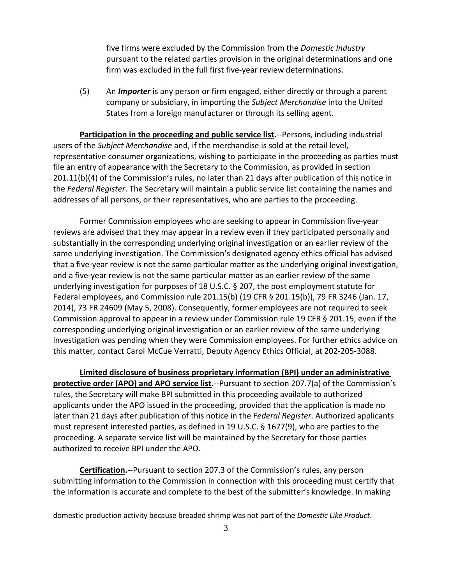five firms were excluded by the Commission from the *Domestic Industry*  pursuant to the related parties provision in the original determinations and one firm was excluded in the full first five-year review determinations.

(5) An *Importer* is any person or firm engaged, either directly or through a parent company or subsidiary, in importing the *Subject Merchandise* into the United States from a foreign manufacturer or through its selling agent.

**Participation in the proceeding and public service list.**--Persons, including industrial users of the *Subject Merchandise* and, if the merchandise is sold at the retail level, representative consumer organizations, wishing to participate in the proceeding as parties must file an entry of appearance with the Secretary to the Commission, as provided in section 201.11(b)(4) of the Commission's rules, no later than 21 days after publication of this notice in the *Federal Register*. The Secretary will maintain a public service list containing the names and addresses of all persons, or their representatives, who are parties to the proceeding.

Former Commission employees who are seeking to appear in Commission five-year reviews are advised that they may appear in a review even if they participated personally and substantially in the corresponding underlying original investigation or an earlier review of the same underlying investigation. The Commission's designated agency ethics official has advised that a five-year review is not the same particular matter as the underlying original investigation, and a five-year review is not the same particular matter as an earlier review of the same underlying investigation for purposes of 18 U.S.C. § 207, the post employment statute for Federal employees, and Commission rule 201.15(b) (19 CFR § 201.15(b)), 79 FR 3246 (Jan. 17, 2014), 73 FR 24609 (May 5, 2008). Consequently, former employees are not required to seek Commission approval to appear in a review under Commission rule 19 CFR § 201.15, even if the corresponding underlying original investigation or an earlier review of the same underlying investigation was pending when they were Commission employees. For further ethics advice on this matter, contact Carol McCue Verratti, Deputy Agency Ethics Official, at 202-205-3088.

**Limited disclosure of business proprietary information (BPI) under an administrative protective order (APO) and APO service list.**--Pursuant to section 207.7(a) of the Commission's rules, the Secretary will make BPI submitted in this proceeding available to authorized applicants under the APO issued in the proceeding, provided that the application is made no later than 21 days after publication of this notice in the *Federal Register*. Authorized applicants must represent interested parties, as defined in 19 U.S.C. § 1677(9), who are parties to the proceeding. A separate service list will be maintained by the Secretary for those parties authorized to receive BPI under the APO.

**Certification.**--Pursuant to section 207.3 of the Commission's rules, any person submitting information to the Commission in connection with this proceeding must certify that the information is accurate and complete to the best of the submitter's knowledge. In making

 $\overline{a}$ 

domestic production activity because breaded shrimp was not part of the *Domestic Like Product*.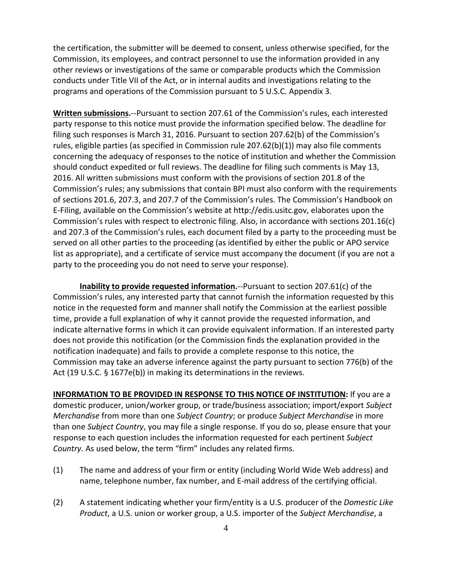the certification, the submitter will be deemed to consent, unless otherwise specified, for the Commission, its employees, and contract personnel to use the information provided in any other reviews or investigations of the same or comparable products which the Commission conducts under Title VII of the Act, or in internal audits and investigations relating to the programs and operations of the Commission pursuant to 5 U.S.C. Appendix 3.

**Written submissions.**--Pursuant to section 207.61 of the Commission's rules, each interested party response to this notice must provide the information specified below. The deadline for filing such responses is March 31, 2016. Pursuant to section 207.62(b) of the Commission's rules, eligible parties (as specified in Commission rule 207.62(b)(1)) may also file comments concerning the adequacy of responses to the notice of institution and whether the Commission should conduct expedited or full reviews. The deadline for filing such comments is May 13, 2016. All written submissions must conform with the provisions of section 201.8 of the Commission's rules; any submissions that contain BPI must also conform with the requirements of sections 201.6, 207.3, and 207.7 of the Commission's rules. The Commission's Handbook on E-Filing, available on the Commission's website at http://edis.usitc.gov, elaborates upon the Commission's rules with respect to electronic filing. Also, in accordance with sections 201.16(c) and 207.3 of the Commission's rules, each document filed by a party to the proceeding must be served on all other parties to the proceeding (as identified by either the public or APO service list as appropriate), and a certificate of service must accompany the document (if you are not a party to the proceeding you do not need to serve your response).

**Inability to provide requested information.**--Pursuant to section 207.61(c) of the Commission's rules, any interested party that cannot furnish the information requested by this notice in the requested form and manner shall notify the Commission at the earliest possible time, provide a full explanation of why it cannot provide the requested information, and indicate alternative forms in which it can provide equivalent information. If an interested party does not provide this notification (or the Commission finds the explanation provided in the notification inadequate) and fails to provide a complete response to this notice, the Commission may take an adverse inference against the party pursuant to section 776(b) of the Act (19 U.S.C. § 1677e(b)) in making its determinations in the reviews.

**INFORMATION TO BE PROVIDED IN RESPONSE TO THIS NOTICE OF INSTITUTION:** If you are a domestic producer, union/worker group, or trade/business association; import/export *Subject Merchandise* from more than one *Subject Country*; or produce *Subject Merchandise* in more than one *Subject Country*, you may file a single response. If you do so, please ensure that your response to each question includes the information requested for each pertinent *Subject Country.* As used below, the term "firm" includes any related firms.

- (1) The name and address of your firm or entity (including World Wide Web address) and name, telephone number, fax number, and E-mail address of the certifying official.
- (2) A statement indicating whether your firm/entity is a U.S. producer of the *Domestic Like Product*, a U.S. union or worker group, a U.S. importer of the *Subject Merchandise*, a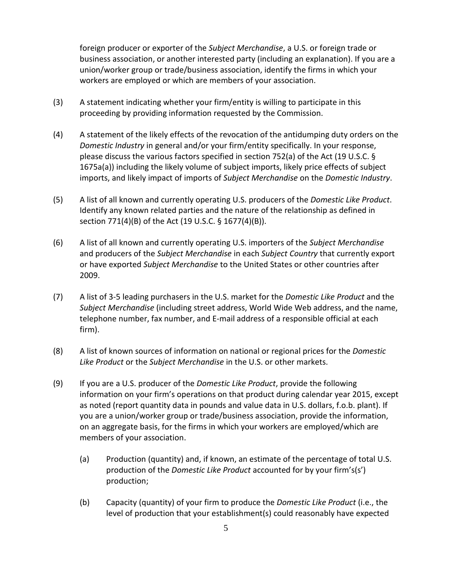foreign producer or exporter of the *Subject Merchandise*, a U.S. or foreign trade or business association, or another interested party (including an explanation). If you are a union/worker group or trade/business association, identify the firms in which your workers are employed or which are members of your association.

- (3) A statement indicating whether your firm/entity is willing to participate in this proceeding by providing information requested by the Commission.
- (4) A statement of the likely effects of the revocation of the antidumping duty orders on the *Domestic Industry* in general and/or your firm/entity specifically. In your response, please discuss the various factors specified in section 752(a) of the Act (19 U.S.C. § 1675a(a)) including the likely volume of subject imports, likely price effects of subject imports, and likely impact of imports of *Subject Merchandise* on the *Domestic Industry*.
- (5) A list of all known and currently operating U.S. producers of the *Domestic Like Product*. Identify any known related parties and the nature of the relationship as defined in section 771(4)(B) of the Act (19 U.S.C. § 1677(4)(B)).
- (6) A list of all known and currently operating U.S. importers of the *Subject Merchandise* and producers of the *Subject Merchandise* in each *Subject Country* that currently export or have exported *Subject Merchandise* to the United States or other countries after 2009.
- (7) A list of 3-5 leading purchasers in the U.S. market for the *Domestic Like Product* and the *Subject Merchandise* (including street address, World Wide Web address, and the name, telephone number, fax number, and E-mail address of a responsible official at each firm).
- (8) A list of known sources of information on national or regional prices for the *Domestic Like Product* or the *Subject Merchandise* in the U.S. or other markets.
- (9) If you are a U.S. producer of the *Domestic Like Product*, provide the following information on your firm's operations on that product during calendar year 2015, except as noted (report quantity data in pounds and value data in U.S. dollars, f.o.b. plant). If you are a union/worker group or trade/business association, provide the information, on an aggregate basis, for the firms in which your workers are employed/which are members of your association.
	- (a) Production (quantity) and, if known, an estimate of the percentage of total U.S. production of the *Domestic Like Product* accounted for by your firm's(s') production;
	- (b) Capacity (quantity) of your firm to produce the *Domestic Like Product* (i.e., the level of production that your establishment(s) could reasonably have expected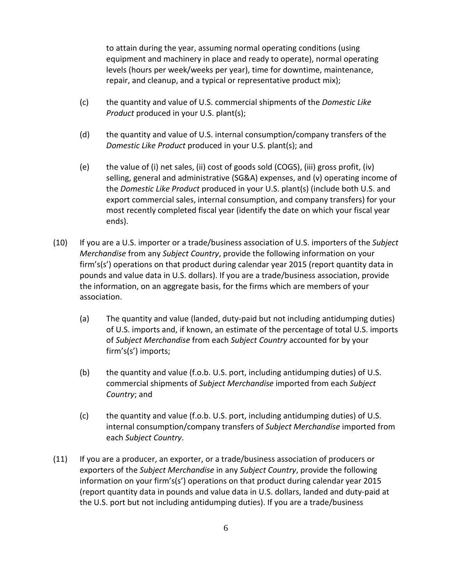to attain during the year, assuming normal operating conditions (using equipment and machinery in place and ready to operate), normal operating levels (hours per week/weeks per year), time for downtime, maintenance, repair, and cleanup, and a typical or representative product mix);

- (c) the quantity and value of U.S. commercial shipments of the *Domestic Like Product* produced in your U.S. plant(s);
- (d) the quantity and value of U.S. internal consumption/company transfers of the *Domestic Like Product* produced in your U.S. plant(s); and
- (e) the value of (i) net sales, (ii) cost of goods sold (COGS), (iii) gross profit, (iv) selling, general and administrative (SG&A) expenses, and (v) operating income of the *Domestic Like Product* produced in your U.S. plant(s) (include both U.S. and export commercial sales, internal consumption, and company transfers) for your most recently completed fiscal year (identify the date on which your fiscal year ends).
- (10) If you are a U.S. importer or a trade/business association of U.S. importers of the *Subject Merchandise* from any *Subject Country*, provide the following information on your firm's(s') operations on that product during calendar year 2015 (report quantity data in pounds and value data in U.S. dollars). If you are a trade/business association, provide the information, on an aggregate basis, for the firms which are members of your association.
	- (a) The quantity and value (landed, duty-paid but not including antidumping duties) of U.S. imports and, if known, an estimate of the percentage of total U.S. imports of *Subject Merchandise* from each *Subject Country* accounted for by your firm's(s') imports;
	- (b) the quantity and value (f.o.b. U.S. port, including antidumping duties) of U.S. commercial shipments of *Subject Merchandise* imported from each *Subject Country*; and
	- (c) the quantity and value (f.o.b. U.S. port, including antidumping duties) of U.S. internal consumption/company transfers of *Subject Merchandise* imported from each *Subject Country*.
- (11) If you are a producer, an exporter, or a trade/business association of producers or exporters of the *Subject Merchandise* in any *Subject Country*, provide the following information on your firm's(s') operations on that product during calendar year 2015 (report quantity data in pounds and value data in U.S. dollars, landed and duty-paid at the U.S. port but not including antidumping duties). If you are a trade/business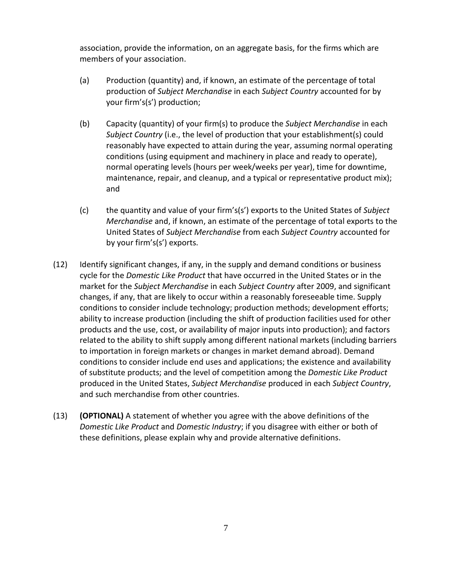association, provide the information, on an aggregate basis, for the firms which are members of your association.

- (a) Production (quantity) and, if known, an estimate of the percentage of total production of *Subject Merchandise* in each *Subject Country* accounted for by your firm's(s') production;
- (b) Capacity (quantity) of your firm(s) to produce the *Subject Merchandise* in each *Subject Country* (i.e., the level of production that your establishment(s) could reasonably have expected to attain during the year, assuming normal operating conditions (using equipment and machinery in place and ready to operate), normal operating levels (hours per week/weeks per year), time for downtime, maintenance, repair, and cleanup, and a typical or representative product mix); and
- (c) the quantity and value of your firm's(s') exports to the United States of *Subject Merchandise* and, if known, an estimate of the percentage of total exports to the United States of *Subject Merchandise* from each *Subject Country* accounted for by your firm's(s') exports.
- (12) Identify significant changes, if any, in the supply and demand conditions or business cycle for the *Domestic Like Product* that have occurred in the United States or in the market for the *Subject Merchandise* in each *Subject Country* after 2009, and significant changes, if any, that are likely to occur within a reasonably foreseeable time. Supply conditions to consider include technology; production methods; development efforts; ability to increase production (including the shift of production facilities used for other products and the use, cost, or availability of major inputs into production); and factors related to the ability to shift supply among different national markets (including barriers to importation in foreign markets or changes in market demand abroad). Demand conditions to consider include end uses and applications; the existence and availability of substitute products; and the level of competition among the *Domestic Like Product* produced in the United States, *Subject Merchandise* produced in each *Subject Country*, and such merchandise from other countries.
- (13) **(OPTIONAL)** A statement of whether you agree with the above definitions of the *Domestic Like Product* and *Domestic Industry*; if you disagree with either or both of these definitions, please explain why and provide alternative definitions.